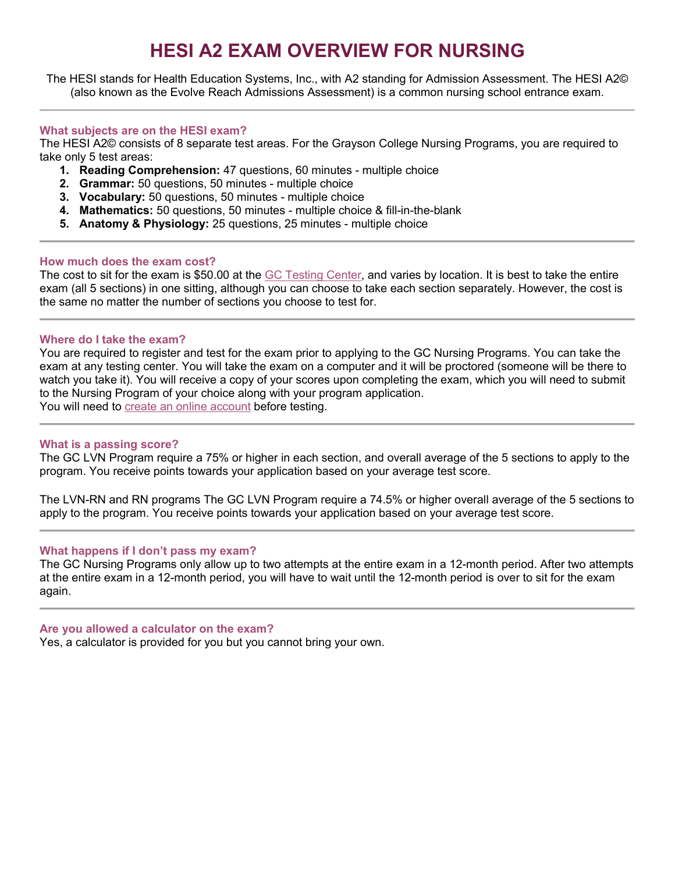# **HESI A2 EXAM OVERVIEW FOR NURSING**

The HESI stands for Health Education Systems, Inc., with A2 standing for Admission Assessment. The HESI A2© (also known as the Evolve Reach Admissions Assessment) is a common nursing school entrance exam.

### **What subjects are on the HESI exam?**

The HESI A2© consists of 8 separate test areas. For the Grayson College Nursing Programs, you are required to take only 5 test areas:

- **1. Reading Comprehension:** 47 questions, 60 minutes multiple choice
- **2. Grammar:** 50 questions, 50 minutes multiple choice
- **3. Vocabulary:** 50 questions, 50 minutes multiple choice
- **4. Mathematics:** 50 questions, 50 minutes multiple choice & fill-in-the-blank
- **5. Anatomy & Physiology:** 25 questions, 25 minutes multiple choice

### **How much does the exam cost?**

The cost to sit for the exam is \$50.00 at the [GC Testing](https://www.grayson.edu/gettingstarted/testing-center/hesi-admissions-exam.html) Center, and varies by location. It is best to take the entire exam (all 5 sections) in one sitting, although you can choose to take each section separately. However, the cost is the same no matter the number of sections you choose to test for.

### **Where do I take the exam?**

You are required to register and test for the exam prior to applying to the GC Nursing Programs. You can take the exam at any testing center. You will take the exam on a computer and it will be proctored (someone will be there to watch you take it). You will receive a copy of your scores upon completing the exam, which you will need to submit to the Nursing Program of your choice along with your program application. You will need to [create an online account](https://evolve.elsevier.com/cs/) before testing.

### **What is a passing score?**

The GC LVN Program require a 75% or higher in each section, and overall average of the 5 sections to apply to the program. You receive points towards your application based on your average test score.

The LVN-RN and RN programs The GC LVN Program require a 74.5% or higher overall average of the 5 sections to apply to the program. You receive points towards your application based on your average test score.

### **What happens if I don't pass my exam?**

The GC Nursing Programs only allow up to two attempts at the entire exam in a 12-month period. After two attempts at the entire exam in a 12-month period, you will have to wait until the 12-month period is over to sit for the exam again.

### **Are you allowed a calculator on the exam?**

Yes, a calculator is provided for you but you cannot bring your own.